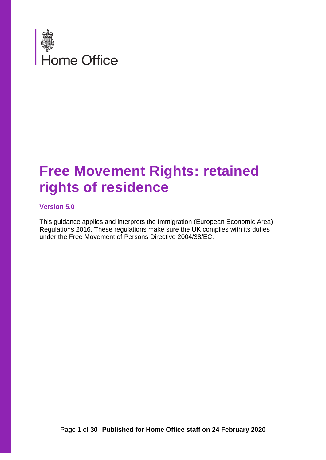

## **Free Movement Rights: retained rights of residence**

#### **Version 5.0**

This guidance applies and interprets the Immigration (European Economic Area) Regulations 2016. These regulations make sure the UK complies with its duties under the Free Movement of Persons Directive 2004/38/EC.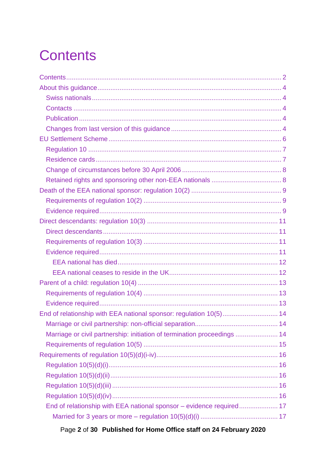# <span id="page-1-0"></span>**Contents**

| End of relationship with EEA national sponsor: regulation 10(5) 14       |  |
|--------------------------------------------------------------------------|--|
|                                                                          |  |
| Marriage or civil partnership: initiation of termination proceedings  14 |  |
|                                                                          |  |
|                                                                          |  |
|                                                                          |  |
|                                                                          |  |
|                                                                          |  |
|                                                                          |  |
| End of relationship with EEA national sponsor - evidence required 17     |  |
|                                                                          |  |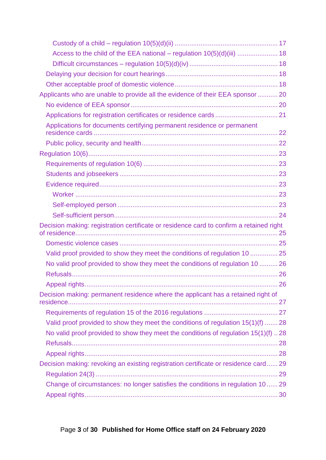| Access to the child of the EEA national - regulation 10(5)(d)(iii)  18                  |  |
|-----------------------------------------------------------------------------------------|--|
|                                                                                         |  |
|                                                                                         |  |
|                                                                                         |  |
| Applicants who are unable to provide all the evidence of their EEA sponsor20            |  |
|                                                                                         |  |
|                                                                                         |  |
| Applications for documents certifying permanent residence or permanent                  |  |
|                                                                                         |  |
|                                                                                         |  |
|                                                                                         |  |
|                                                                                         |  |
|                                                                                         |  |
|                                                                                         |  |
|                                                                                         |  |
|                                                                                         |  |
| Decision making: registration certificate or residence card to confirm a retained right |  |
|                                                                                         |  |
| Valid proof provided to show they meet the conditions of regulation 10  25              |  |
| No valid proof provided to show they meet the conditions of regulation 10  26           |  |
|                                                                                         |  |
|                                                                                         |  |
| Decision making: permanent residence where the applicant has a retained right of        |  |
|                                                                                         |  |
| Valid proof provided to show they meet the conditions of regulation 15(1)(f)  28        |  |
| No valid proof provided to show they meet the conditions of regulation 15(1)(f) 28      |  |
|                                                                                         |  |
|                                                                                         |  |
| Decision making: revoking an existing registration certificate or residence card 29     |  |
|                                                                                         |  |
| Change of circumstances: no longer satisfies the conditions in regulation 10 29         |  |
|                                                                                         |  |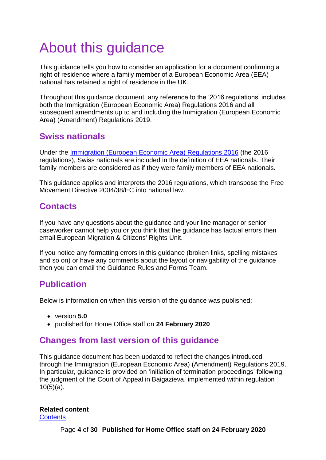# <span id="page-3-0"></span>About this guidance

This guidance tells you how to consider an application for a document confirming a right of residence where a family member of a European Economic Area (EEA) national has retained a right of residence in the UK.

Throughout this guidance document, any reference to the '2016 regulations' includes both the Immigration (European Economic Area) Regulations 2016 and all subsequent amendments up to and including the Immigration (European Economic Area) (Amendment) Regulations 2019.

### <span id="page-3-1"></span>**Swiss nationals**

Under the [Immigration \(European Economic Area\) Regulations 2016](http://www.legislation.gov.uk/uksi/2016/1052/contents/made) (the 2016 regulations), Swiss nationals are included in the definition of EEA nationals. Their family members are considered as if they were family members of EEA nationals.

This guidance applies and interprets the 2016 regulations, which transpose the Free Movement Directive 2004/38/EC into national law.

## <span id="page-3-2"></span>**Contacts**

If you have any questions about the guidance and your line manager or senior caseworker cannot help you or you think that the guidance has factual errors then email European Migration & Citizens' Rights Unit.

If you notice any formatting errors in this guidance (broken links, spelling mistakes and so on) or have any comments about the layout or navigability of the guidance then you can email the Guidance Rules and Forms Team.

## <span id="page-3-3"></span>**Publication**

Below is information on when this version of the guidance was published:

- version **5.0**
- published for Home Office staff on **24 February 2020**

## <span id="page-3-4"></span>**Changes from last version of this guidance**

This guidance document has been updated to reflect the changes introduced through the [Immigration \(European Economic Area\) \(Amendment\) Regulations 2019.](http://www.legislation.gov.uk/uksi/2019/1155/contents/made) In particular, guidance is provided on 'initiation of termination proceedings' following the judgment of the Court of Appeal in Baigazieva, implemented within regulation  $10(5)(a)$ .

#### **Related content**

**[Contents](#page-1-0)**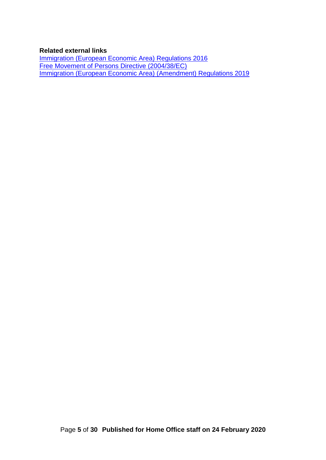#### **Related external links**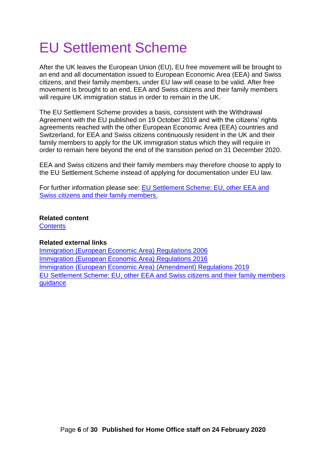# <span id="page-5-0"></span>EU Settlement Scheme

After the UK leaves the European Union (EU), EU free movement will be brought to an end and all documentation issued to European Economic Area (EEA) and Swiss citizens, and their family members, under EU law will cease to be valid. After free movement is brought to an end, EEA and Swiss citizens and their family members will require UK immigration status in order to remain in the UK.

The EU Settlement Scheme provides a basis, consistent with the Withdrawal Agreement with the EU published on 19 October 2019 and with the citizens' rights agreements reached with the other European Economic Area (EEA) countries and Switzerland, for EEA and Swiss citizens continuously resident in the UK and their family members to apply for the UK immigration status which they will require in order to remain here beyond the end of the transition period on 31 December 2020.

EEA and Swiss citizens and their family members may therefore choose to apply to the EU Settlement Scheme instead of applying for documentation under EU law.

For further information please see: [EU Settlement Scheme: EU, other EEA and](https://www.gov.uk/government/publications/eu-settlement-scheme-caseworker-guidance)  [Swiss citizens and their family members.](https://www.gov.uk/government/publications/eu-settlement-scheme-caseworker-guidance)

#### **Related content**

**[Contents](#page-1-0)** 

#### **Related external links**

[Immigration \(European Economic Area\) Regulations 2006](http://www.legislation.gov.uk/uksi/2006/1003) [Immigration \(European Economic Area\) Regulations 2016](http://www.legislation.gov.uk/uksi/2016/1052/contents/made) [Immigration \(European Economic Area\) \(Amendment\) Regulations 2019](http://www.legislation.gov.uk/uksi/2019/1155/contents/made) [EU Settlement Scheme: EU, other EEA and Swiss citizens and their family members](https://www.gov.uk/government/publications/eu-settlement-scheme-caseworker-guidance)  [guidance](https://www.gov.uk/government/publications/eu-settlement-scheme-caseworker-guidance)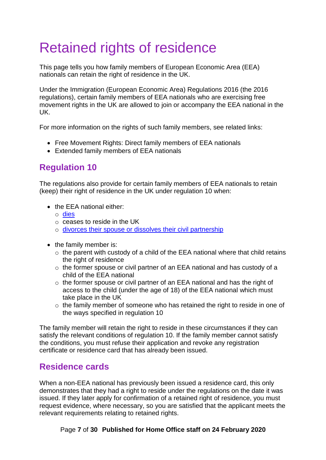# <span id="page-6-2"></span>Retained rights of residence

This page tells you how family members of European Economic Area (EEA) nationals can retain the right of residence in the UK.

Under the Immigration (European Economic Area) Regulations 2016 (the 2016 regulations), certain family members of EEA nationals who are exercising free movement rights in the UK are allowed to join or accompany the EEA national in the UK.

For more information on the rights of such family members, see related links:

- Free Movement Rights: Direct family members of EEA nationals
- Extended family members of EEA nationals

## <span id="page-6-0"></span>**Regulation 10**

The regulations also provide for certain family members of EEA nationals to retain (keep) their right of residence in the UK under regulation 10 when:

- the EEA national either:
	- o [dies](#page-8-0)
	- o ceases to reside in the UK
	- o [divorces their spouse or dissolves their civil partnership](#page-13-0)
- the family member is:
	- $\circ$  the parent with custody of a child of the EEA national where that child retains the right of residence
	- o the former spouse or civil partner of an EEA national and has custody of a child of the EEA national
	- o the former spouse or civil partner of an EEA national and has the right of access to the child (under the age of 18) of the EEA national which must take place in the UK
	- o the family member of someone who has retained the right to reside in one of the ways specified in regulation 10

The family member will retain the right to reside in these circumstances if they can satisfy the relevant conditions of regulation 10. If the family member cannot satisfy the conditions, you must refuse their application and revoke any registration certificate or residence card that has already been issued.

#### <span id="page-6-1"></span>**Residence cards**

When a non-EEA national has previously been issued a residence card, this only demonstrates that they had a right to reside under the regulations on the date it was issued. If they later apply for confirmation of a retained right of residence, you must request evidence, where necessary, so you are satisfied that the applicant meets the relevant requirements relating to retained rights.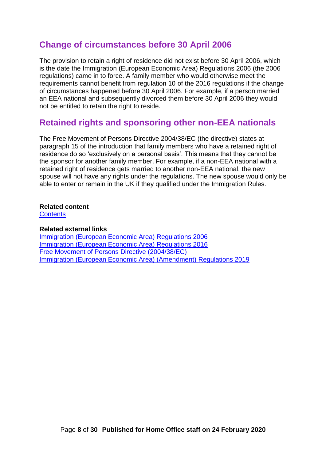#### **Change of circumstances before 30 April 2006**

The provision to retain a right of residence did not exist before 30 April 2006, which is the date the Immigration (European Economic Area) Regulations 2006 (the 2006 regulations) came in to force. A family member who would otherwise meet the requirements cannot benefit from regulation 10 of the 2016 regulations if the change of circumstances happened before 30 April 2006. For example, if a person married an EEA national and subsequently divorced them before 30 April 2006 they would not be entitled to retain the right to reside.

#### <span id="page-7-0"></span>**Retained rights and sponsoring other non-EEA nationals**

The Free Movement of Persons Directive 2004/38/EC (the directive) states at paragraph 15 of the introduction that family members who have a retained right of residence do so 'exclusively on a personal basis'. This means that they cannot be the sponsor for another family member. For example, if a non-EEA national with a retained right of residence gets married to another non-EEA national, the new spouse will not have any rights under the regulations. The new spouse would only be able to enter or remain in the UK if they qualified under the Immigration Rules.

#### **Related content**

**[Contents](#page-1-0)** 

#### **Related external links**

[Immigration \(European Economic Area\) Regulations 2006](http://www.opsi.gov.uk/si/si2006/uksi_20061003_en.pdf) [Immigration \(European Economic Area\) Regulations 2016](http://www.legislation.gov.uk/uksi/2016/1052/contents/made) [Free Movement of Persons Directive \(2004/38/EC\)](http://eur-lex.europa.eu/LexUriServ/LexUriServ.do?uri=OJ:L:2004:158:0077:0123:EN:PDF) [Immigration \(European Economic Area\) \(Amendment\)](http://www.legislation.gov.uk/uksi/2019/1155/contents/made) Regulations 2019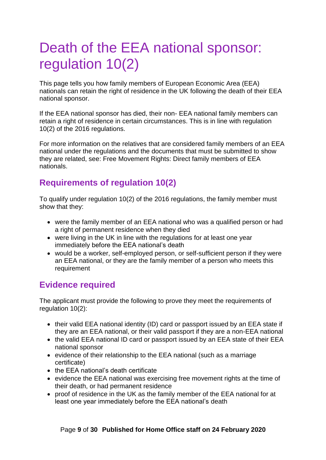# <span id="page-8-0"></span>Death of the EEA national sponsor: regulation 10(2)

This page tells you how family members of European Economic Area (EEA) nationals can retain the right of residence in the UK following the death of their EEA national sponsor.

If the EEA national sponsor has died, their non- EEA national family members can retain a right of residence in certain circumstances. This is in line with regulation 10(2) of the 2016 regulations.

For more information on the relatives that are considered family members of an EEA national under the regulations and the documents that must be submitted to show they are related, see: Free Movement Rights: Direct family members of EEA nationals.

## <span id="page-8-1"></span>**Requirements of regulation 10(2)**

To qualify under regulation 10(2) of the 2016 regulations, the family member must show that they:

- were the family member of an EEA national who was a qualified person or had a right of permanent residence when they died
- were living in the UK in line with the regulations for at least one year immediately before the EEA national's death
- would be a worker, self-employed person, or self-sufficient person if they were an EEA national, or they are the family member of a person who meets this requirement

## <span id="page-8-2"></span>**Evidence required**

The applicant must provide the following to prove they meet the requirements of regulation 10(2):

- their valid EEA national identity (ID) card or passport issued by an EEA state if they are an EEA national, or their valid passport if they are a non-EEA national
- the valid EEA national ID card or passport issued by an EEA state of their EEA national sponsor
- evidence of their relationship to the EEA national (such as a marriage certificate)
- the EEA national's death certificate
- evidence the EEA national was exercising free movement rights at the time of their death, or had permanent residence
- proof of residence in the UK as the family member of the EEA national for at least one year immediately before the EEA national's death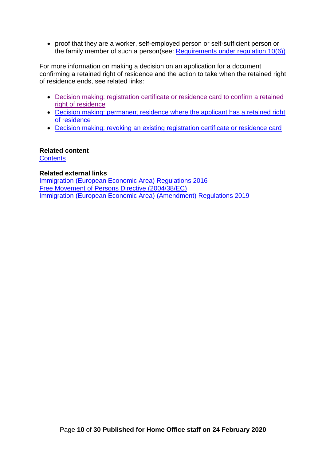• proof that they are a worker, self-employed person or self-sufficient person or the family member of such a person(see: Requirements under regulation 10(6))

For more information on making a decision on an application for a document confirming a retained right of residence and the action to take when the retained right of residence ends, see related links:

- [Decision making: registration certificate or residence card to confirm a retained](#page-22-0)  [right of residence](#page-22-0)
- [Decision making: permanent residence where the applicant has a retained right](#page-26-0)  [of residence](#page-26-0)
- Decision making: revoking an existing [registration certificate or residence card](#page-28-0)

#### **Related content**

**[Contents](#page-1-0)** 

#### **Related external links**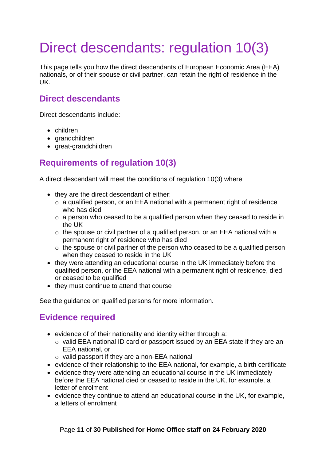# <span id="page-10-0"></span>Direct descendants: regulation 10(3)

This page tells you how the direct descendants of European Economic Area (EEA) nationals, or of their spouse or civil partner, can retain the right of residence in the UK.

## <span id="page-10-1"></span>**Direct descendants**

Direct descendants include:

- children
- grandchildren
- great-grandchildren

## <span id="page-10-2"></span>**Requirements of regulation 10(3)**

A direct descendant will meet the conditions of regulation 10(3) where:

- they are the direct descendant of either:
	- o a qualified person, or an EEA national with a permanent right of residence who has died
	- o a person who ceased to be a qualified person when they ceased to reside in the UK
	- o the spouse or civil partner of a qualified person, or an EEA national with a permanent right of residence who has died
	- o the spouse or civil partner of the person who ceased to be a qualified person when they ceased to reside in the UK
- they were attending an educational course in the UK immediately before the qualified person, or the EEA national with a permanent right of residence, died or ceased to be qualified
- they must continue to attend that course

See the guidance on qualified persons for more information.

#### <span id="page-10-3"></span>**Evidence required**

- evidence of of their nationality and identity either through a:
	- o valid EEA national ID card or passport issued by an EEA state if they are an EEA national, or
	- o valid passport if they are a non-EEA national
- evidence of their relationship to the EEA national, for example, a birth certificate
- evidence they were attending an educational course in the UK immediately before the EEA national died or ceased to reside in the UK, for example, a letter of enrolment
- evidence they continue to attend an educational course in the UK, for example, a letters of enrolment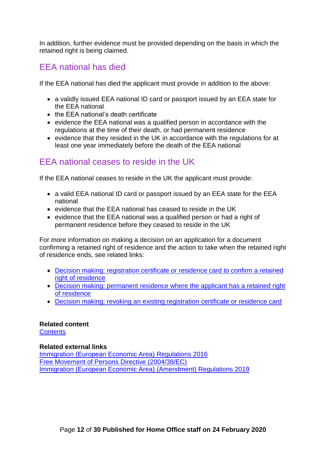In addition, further evidence must be provided depending on the basis in which the retained right is being claimed.

## <span id="page-11-0"></span>EEA national has died

If the EEA national has died the applicant must provide in addition to the above:

- a validly issued EEA national ID card or passport issued by an EEA state for the EEA national
- the EEA national's death certificate
- evidence the EEA national was a qualified person in accordance with the regulations at the time of their death, or had permanent residence
- evidence that they resided in the UK in accordance with the regulations for at least one year immediately before the death of the EEA national

### <span id="page-11-1"></span>EEA national ceases to reside in the UK

If the EEA national ceases to reside in the UK the applicant must provide:

- a valid EEA national ID card or passport issued by an EEA state for the EEA national
- evidence that the EEA national has ceased to reside in the UK
- evidence that the EEA national was a qualified person or had a right of permanent residence before they ceased to reside in the UK

For more information on making a decision on an application for a document confirming a retained right of residence and the action to take when the retained right of residence ends, see related links:

- [Decision making: registration certificate or residence card to confirm a retained](#page-22-0)  [right of residence](#page-22-0)
- [Decision making: permanent residence where the applicant has a retained right](#page-26-0)  [of residence](#page-26-0)
- [Decision making: revoking an existing registration certificate or residence card](#page-28-0)

#### **Related content**

**[Contents](#page-1-0)** 

#### **Related external links**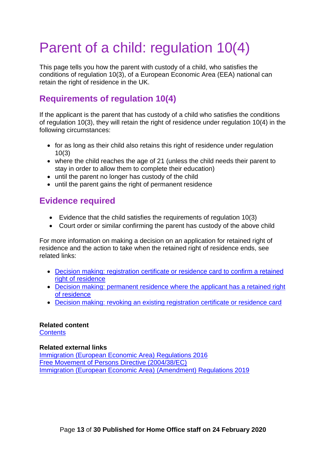# <span id="page-12-0"></span>Parent of a child: regulation 10(4)

This page tells you how the parent with custody of a child, who satisfies the conditions of regulation 10(3), of a European Economic Area (EEA) national can retain the right of residence in the UK.

## <span id="page-12-1"></span>**Requirements of regulation 10(4)**

If the applicant is the parent that has custody of a child who satisfies the conditions of regulation 10(3), they will retain the right of residence under regulation 10(4) in the following circumstances:

- for as long as their child also retains this right of residence under regulation 10(3)
- where the child reaches the age of 21 (unless the child needs their parent to stay in order to allow them to complete their education)
- until the parent no longer has custody of the child
- until the parent gains the right of permanent residence

## <span id="page-12-2"></span>**Evidence required**

- Evidence that the child satisfies the requirements of regulation 10(3)
- Court order or similar confirming the parent has custody of the above child

For more information on making a decision on an application for retained right of residence and the action to take when the retained right of residence ends, see related links:

- Decision making: registration [certificate or residence card to confirm a retained](#page-24-0)  [right of residence](#page-24-0)
- [Decision making: permanent residence where the applicant has a retained right](#page-25-2)  [of residence](#page-25-2)
- [Decision making: revoking an existing registration certificate or residence card](#page-27-3)

## **Related content**

**[Contents](#page-1-0)** 

#### **Related external links**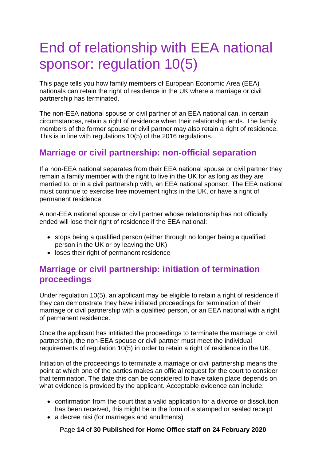# <span id="page-13-0"></span>End of relationship with EEA national sponsor: regulation 10(5)

This page tells you how family members of European Economic Area (EEA) nationals can retain the right of residence in the UK where a marriage or civil partnership has terminated.

The non-EEA national spouse or civil partner of an EEA national can, in certain circumstances, retain a right of residence when their relationship ends. The family members of the former spouse or civil partner may also retain a right of residence. This is in line with regulations 10(5) of the 2016 regulations.

#### <span id="page-13-1"></span>**Marriage or civil partnership: non-official separation**

If a non-EEA national separates from their EEA national spouse or civil partner they remain a family member with the right to live in the UK for as long as they are married to, or in a civil partnership with, an EEA national sponsor. The EEA national must continue to exercise free movement rights in the UK, or have a right of permanent residence.

A non-EEA national spouse or civil partner whose relationship has not officially ended will lose their right of residence if the EEA national:

- stops being a qualified person (either through no longer being a qualified person in the UK or by leaving the UK)
- loses their right of permanent residence

### <span id="page-13-2"></span>**Marriage or civil partnership: initiation of termination proceedings**

Under regulation 10(5), an applicant may be eligible to retain a right of residence if they can demonstrate they have initiated proceedings for termination of their marriage or civil partnership with a qualified person, or an EEA national with a right of permanent residence.

Once the applicant has intitiated the proceedings to terminate the marriage or civil partnership, the non-EEA spouse or civil partner must meet the individual requirements of regulation 10(5) in order to retain a right of residence in the UK.

Initiation of the proceedings to terminate a marriage or civil partnership means the point at which one of the parties makes an official request for the court to consider that termination. The date this can be considered to have taken place depends on what evidence is provided by the applicant. Acceptable evidence can include:

- confirmation from the court that a valid application for a divorce or dissolution has been received, this might be in the form of a stamped or sealed receipt
- a decree nisi (for marriages and anullments)

Page **14** of **30 Published for Home Office staff on 24 February 2020**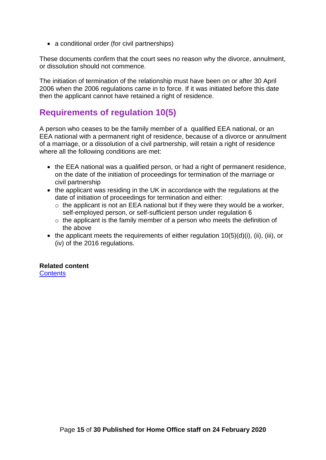• a conditional order (for civil partnerships)

These documents confirm that the court sees no reason why the divorce, annulment, or dissolution should not commence.

The initiation of termination of the relationship must have been on or after 30 April 2006 when the 2006 regulations came in to force. If it was initiated before this date then the applicant cannot have retained a right of residence.

#### <span id="page-14-0"></span>**Requirements of regulation 10(5)**

A person who ceases to be the family member of a qualified EEA national, or an EEA national with a permanent right of residence, because of a divorce or annulment of a marriage, or a dissolution of a civil partnership, will retain a right of residence where all the following conditions are met:

- the EEA national was a qualified person, or had a right of permanent residence, on the date of the initiation of proceedings for termination of the marriage or civil partnership
- the applicant was residing in the UK in accordance with the regulations at the date of initiation of proceedings for termination and either:
	- $\circ$  the applicant is not an EEA national but if they were they would be a worker, self-employed person, or self-sufficient person under regulation 6
	- $\circ$  the applicant is the family member of a person who meets the definition of the above
- the applicant meets the requirements of either regulation  $10(5)(d)(i)$ , (ii), (iii), or (iv) of the 2016 regulations.

## **Related content**

**[Contents](#page-1-0)**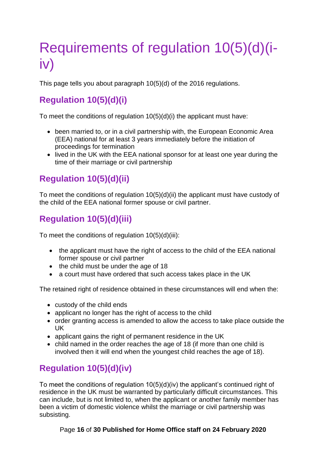# <span id="page-15-0"></span>Requirements of regulation 10(5)(d)(iiv)

This page tells you about paragraph 10(5)(d) of the 2016 regulations.

## <span id="page-15-1"></span>**Regulation 10(5)(d)(i)**

To meet the conditions of regulation 10(5)(d)(i) the applicant must have:

- been married to, or in a civil partnership with, the European Economic Area (EEA) national for at least 3 years immediately before the initiation of proceedings for termination
- lived in the UK with the EEA national sponsor for at least one year during the time of their marriage or civil partnership

## <span id="page-15-2"></span>**Regulation 10(5)(d)(ii)**

To meet the conditions of regulation 10(5)(d)(ii) the applicant must have custody of the child of the EEA national former spouse or civil partner.

## <span id="page-15-3"></span>**Regulation 10(5)(d)(iii)**

To meet the conditions of regulation  $10(5)(d)(iii)$ :

- the applicant must have the right of access to the child of the EEA national former spouse or civil partner
- the child must be under the age of 18
- a court must have ordered that such access takes place in the UK

The retained right of residence obtained in these circumstances will end when the:

- custody of the child ends
- applicant no longer has the right of access to the child
- order granting access is amended to allow the access to take place outside the UK
- applicant gains the right of permanent residence in the UK
- child named in the order reaches the age of 18 (if more than one child is involved then it will end when the youngest child reaches the age of 18).

## <span id="page-15-4"></span>**Regulation 10(5)(d)(iv)**

To meet the conditions of regulation 10(5)(d)(iv) the applicant's continued right of residence in the UK must be warranted by particularly difficult circumstances. This can include, but is not limited to, when the applicant or another family member has been a victim of domestic violence whilst the marriage or civil partnership was subsisting.

#### Page **16** of **30 Published for Home Office staff on 24 February 2020**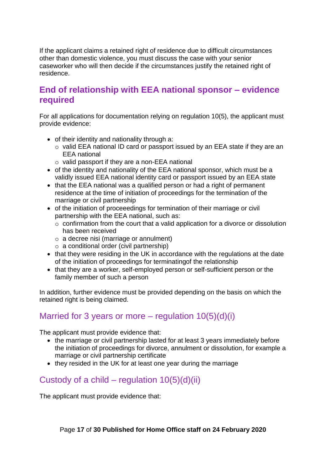If the applicant claims a retained right of residence due to difficult circumstances other than domestic violence, you must discuss the case with your senior caseworker who will then decide if the circumstances justify the retained right of residence.

#### <span id="page-16-0"></span>**End of relationship with EEA national sponsor – evidence required**

For all applications for documentation relying on regulation 10(5), the applicant must provide evidence:

- of their identity and nationality through a:
	- o valid EEA national ID card or passport issued by an EEA state if they are an EEA national
	- o valid passport if they are a non-EEA national
- of the identity and nationality of the EEA national sponsor, which must be a validly issued EEA national identity card or passport issued by an EEA state
- that the EEA national was a qualified person or had a right of permanent residence at the time of initiation of proceedings for the termination of the marriage or civil partnership
- of the initiation of proceeedings for termination of their marriage or civil partnership with the EEA national, such as:
	- $\circ$  confirmation from the court that a valid application for a divorce or dissolution has been received
	- $\circ$  a decree nisi (marriage or annulment)
	- $\circ$  a conditional order (civil partnership)
- that they were residing in the UK in accordance with the regulations at the date of the initiation of proceedings for terminatingof the relationship
- that they are a worker, self-employed person or self-sufficient person or the family member of such a person

In addition, further evidence must be provided depending on the basis on which the retained right is being claimed.

#### <span id="page-16-1"></span>Married for 3 years or more – regulation  $10(5)(d)(i)$

The applicant must provide evidence that:

- the marriage or civil partnership lasted for at least 3 years immediately before the initiation of proceedings for divorce, annulment or dissolution, for example a marriage or civil partnership certificate
- they resided in the UK for at least one year during the marriage

## <span id="page-16-2"></span>Custody of a child – regulation  $10(5)(d)(ii)$

The applicant must provide evidence that: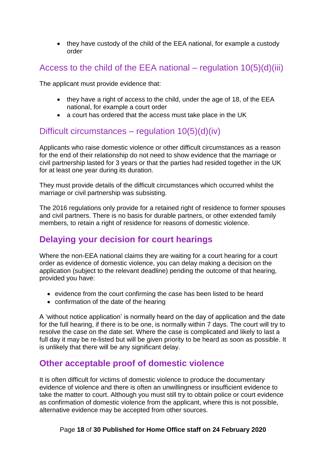• they have custody of the child of the EEA national, for example a custody order

### <span id="page-17-0"></span>Access to the child of the EEA national – regulation  $10(5)(d)(iii)$

The applicant must provide evidence that:

- they have a right of access to the child, under the age of 18, of the EEA national, for example a court order
- a court has ordered that the access must take place in the UK

### <span id="page-17-1"></span>Difficult circumstances – regulation  $10(5)(d)(iv)$

Applicants who raise domestic violence or other difficult circumstances as a reason for the end of their relationship do not need to show evidence that the marriage or civil partnership lasted for 3 years or that the parties had resided together in the UK for at least one year during its duration.

They must provide details of the difficult circumstances which occurred whilst the marriage or civil partnership was subsisting.

The 2016 regulations only provide for a retained right of residence to former spouses and civil partners. There is no basis for durable partners, or other extended family members, to retain a right of residence for reasons of domestic violence.

## <span id="page-17-2"></span>**Delaying your decision for court hearings**

Where the non-EEA national claims they are waiting for a court hearing for a court order as evidence of domestic violence, you can delay making a decision on the application (subject to the relevant deadline) pending the outcome of that hearing, provided you have:

- evidence from the court confirming the case has been listed to be heard
- confirmation of the date of the hearing

A 'without notice application' is normally heard on the day of application and the date for the full hearing, if there is to be one, is normally within 7 days. The court will try to resolve the case on the date set. Where the case is complicated and likely to last a full day it may be re-listed but will be given priority to be heard as soon as possible. It is unlikely that there will be any significant delay.

#### <span id="page-17-3"></span>**Other acceptable proof of domestic violence**

It is often difficult for victims of domestic violence to produce the documentary evidence of violence and there is often an unwillingness or insufficient evidence to take the matter to court. Although you must still try to obtain police or court evidence as confirmation of domestic violence from the applicant, where this is not possible, alternative evidence may be accepted from other sources.

#### Page **18** of **30 Published for Home Office staff on 24 February 2020**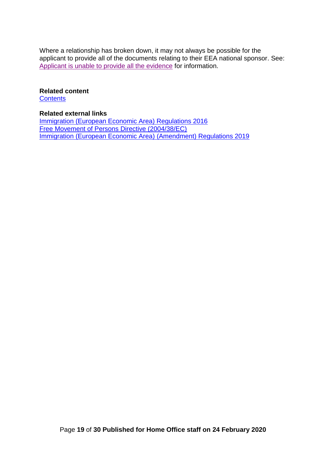Where a relationship has broken down, it may not always be possible for the applicant to provide all of the documents relating to their EEA national sponsor. See: [Applicant is unable to provide all the evidence](#page-19-0) for information.

#### **Related content**

**[Contents](#page-1-0)** 

#### **Related external links**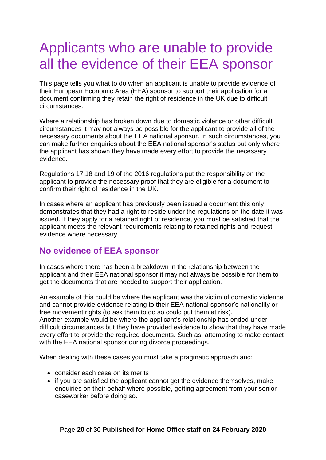## <span id="page-19-2"></span><span id="page-19-0"></span>Applicants who are unable to provide all the evidence of their EEA sponsor

This page tells you what to do when an applicant is unable to provide evidence of their European Economic Area (EEA) sponsor to support their application for a document confirming they retain the right of residence in the UK due to difficult circumstances.

Where a relationship has broken down due to domestic violence or other difficult circumstances it may not always be possible for the applicant to provide all of the necessary documents about the EEA national sponsor. In such circumstances, you can make further enquiries about the EEA national sponsor's status but only where the applicant has shown they have made every effort to provide the necessary evidence.

Regulations 17,18 and 19 of the 2016 regulations put the responsibility on the applicant to provide the necessary proof that they are eligible for a document to confirm their right of residence in the UK.

In cases where an applicant has previously been issued a document this only demonstrates that they had a right to reside under the regulations on the date it was issued. If they apply for a retained right of residence, you must be satisfied that the applicant meets the relevant requirements relating to retained rights and request evidence where necessary.

#### <span id="page-19-1"></span>**No evidence of EEA sponsor**

In cases where there has been a breakdown in the relationship between the applicant and their EEA national sponsor it may not always be possible for them to get the documents that are needed to support their application.

An example of this could be where the applicant was the victim of domestic violence and cannot provide evidence relating to their EEA national sponsor's nationality or free movement rights (to ask them to do so could put them at risk). Another example would be where the applicant's relationship has ended under difficult circumstances but they have provided evidence to show that they have made every effort to provide the required documents. Such as, attempting to make contact with the EEA national sponsor during divorce proceedings.

When dealing with these cases you must take a pragmatic approach and:

- consider each case on its merits
- if you are satisfied the applicant cannot get the evidence themselves, make enquiries on their behalf where possible, getting agreement from your senior caseworker before doing so.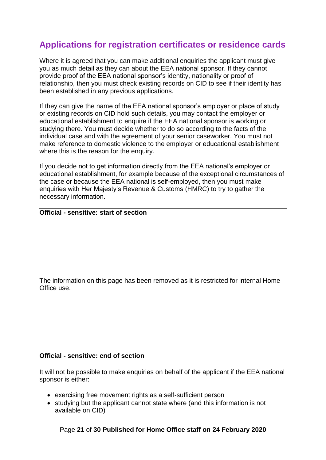## **Applications for registration certificates or residence cards**

Where it is agreed that you can make additional enquiries the applicant must give you as much detail as they can about the EEA national sponsor. If they cannot provide proof of the EEA national sponsor's identity, nationality or proof of relationship, then you must check existing records on CID to see if their identity has been established in any previous applications.

If they can give the name of the EEA national sponsor's employer or place of study or existing records on CID hold such details, you may contact the employer or educational establishment to enquire if the EEA national sponsor is working or studying there. You must decide whether to do so according to the facts of the individual case and with the agreement of your senior caseworker. You must not make reference to domestic violence to the employer or educational establishment where this is the reason for the enquiry.

If you decide not to get information directly from the EEA national's employer or educational establishment, for example because of the exceptional circumstances of the case or because the EEA national is self-employed, then you must make enquiries with Her Majesty's Revenue & Customs (HMRC) to try to gather the necessary information.

#### **Official - sensitive: start of section**

The information on this page has been removed as it is restricted for internal Home Office use.

#### **Official - sensitive: end of section**

It will not be possible to make enquiries on behalf of the applicant if the EEA national sponsor is either:

- exercising free movement rights as a self-sufficient person
- studying but the applicant cannot state where (and this information is not available on CID)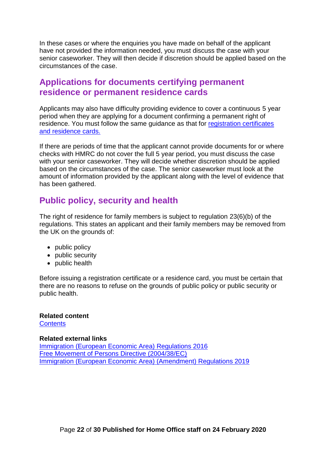In these cases or where the enquiries you have made on behalf of the applicant have not provided the information needed, you must discuss the case with your senior caseworker. They will then decide if discretion should be applied based on the circumstances of the case.

#### <span id="page-21-0"></span>**Applications for documents certifying permanent residence or permanent residence cards**

Applicants may also have difficulty providing evidence to cover a continuous 5 year period when they are applying for a document confirming a permanent right of residence. You must follow the same guidance as that for [registration certificates](#page-19-2)  [and residence cards.](#page-19-2)

If there are periods of time that the applicant cannot provide documents for or where checks with HMRC do not cover the full 5 year period, you must discuss the case with your senior caseworker. They will decide whether discretion should be applied based on the circumstances of the case. The senior caseworker must look at the amount of information provided by the applicant along with the level of evidence that has been gathered.

#### <span id="page-21-1"></span>**Public policy, security and health**

The right of residence for family members is subject to regulation 23(6)(b) of the regulations. This states an applicant and their family members may be removed from the UK on the grounds of:

- public policy
- public security
- public health

Before issuing a registration certificate or a residence card, you must be certain that there are no reasons to refuse on the grounds of public policy or public security or public health.

#### **Related content [Contents](#page-1-0)**

#### **Related external links**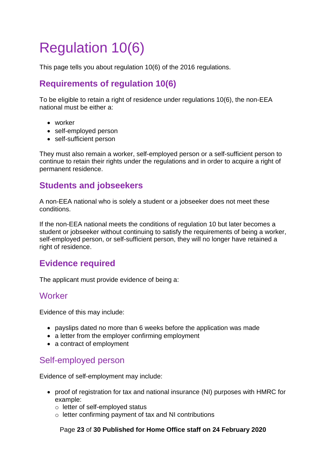# <span id="page-22-0"></span>Regulation 10(6)

This page tells you about regulation 10(6) of the 2016 regulations.

## <span id="page-22-1"></span>**Requirements of regulation 10(6)**

To be eligible to retain a right of residence under regulations 10(6), the non-EEA national must be either a:

- worker
- self-employed person
- self-sufficient person

They must also remain a worker, self-employed person or a self-sufficient person to continue to retain their rights under the regulations and in order to acquire a right of permanent residence.

### <span id="page-22-2"></span>**Students and jobseekers**

A non-EEA national who is solely a student or a jobseeker does not meet these conditions.

If the non-EEA national meets the conditions of regulation 10 but later becomes a student or jobseeker without continuing to satisfy the requirements of being a worker, self-employed person, or self-sufficient person, they will no longer have retained a right of residence.

#### <span id="page-22-3"></span>**Evidence required**

The applicant must provide evidence of being a:

#### <span id="page-22-4"></span>**Worker**

Evidence of this may include:

- payslips dated no more than 6 weeks before the application was made
- a letter from the employer confirming employment
- a contract of employment

#### <span id="page-22-5"></span>Self-employed person

Evidence of self-employment may include:

- proof of registration for tax and national insurance (NI) purposes with HMRC for example:
	- o letter of self-employed status
	- o letter confirming payment of tax and NI contributions

Page **23** of **30 Published for Home Office staff on 24 February 2020**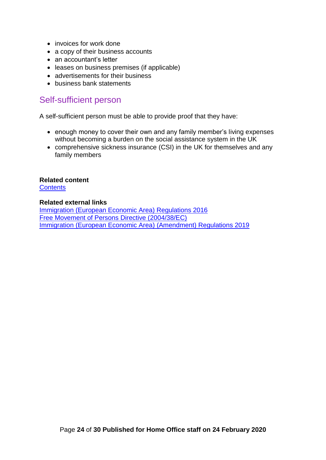- invoices for work done
- a copy of their business accounts
- an accountant's letter
- leases on business premises (if applicable)
- advertisements for their business
- business bank statements

#### <span id="page-23-0"></span>Self-sufficient person

A self-sufficient person must be able to provide proof that they have:

- enough money to cover their own and any family member's living expenses without becoming a burden on the social assistance system in the UK
- comprehensive sickness insurance (CSI) in the UK for themselves and any family members

#### **Related content**

**[Contents](#page-1-0)** 

#### **Related external links**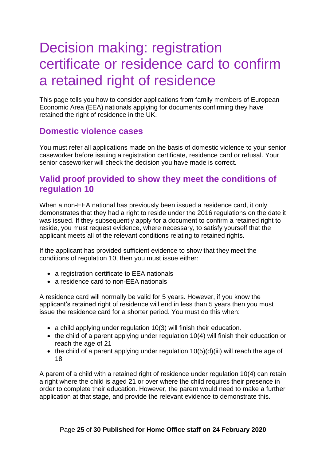# <span id="page-24-3"></span><span id="page-24-0"></span>Decision making: registration certificate or residence card to confirm a retained right of residence

This page tells you how to consider applications from family members of European Economic Area (EEA) nationals applying for documents confirming they have retained the right of residence in the UK.

### <span id="page-24-1"></span>**Domestic violence cases**

You must refer all applications made on the basis of domestic violence to your senior caseworker before issuing a registration certificate, residence card or refusal. Your senior caseworker will check the decision you have made is correct.

## <span id="page-24-2"></span>**Valid proof provided to show they meet the conditions of regulation 10**

When a non-EEA national has previously been issued a residence card, it only demonstrates that they had a right to reside under the 2016 regulations on the date it was issued. If they subsequently apply for a document to confirm a retained right to reside, you must request evidence, where necessary, to satisfy yourself that the applicant meets all of the relevant conditions relating to retained rights.

If the applicant has provided sufficient evidence to show that they meet the conditions of regulation 10, then you must issue either:

- a registration certificate to EEA nationals
- a residence card to non-EEA nationals

A residence card will normally be valid for 5 years. However, if you know the applicant's retained right of residence will end in less than 5 years then you must issue the residence card for a shorter period. You must do this when:

- a child applying under regulation 10(3) will finish their education.
- the child of a parent applying under regulation 10(4) will finish their education or reach the age of 21
- $\bullet$  the child of a parent applying under regulation 10(5)(d)(iii) will reach the age of 18

A parent of a child with a retained right of residence under regulation 10(4) can retain a right where the child is aged 21 or over where the child requires their presence in order to complete their education. However, the parent would need to make a further application at that stage, and provide the relevant evidence to demonstrate this.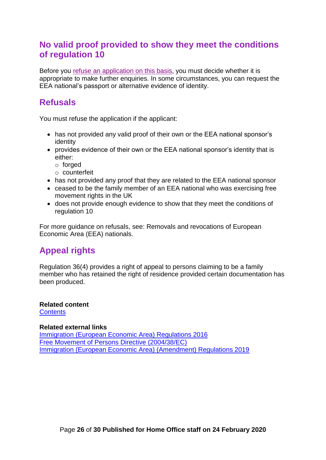### **No valid proof provided to show they meet the conditions of regulation 10**

Before you [refuse an application on this basis,](#page-19-0) you must decide whether it is appropriate to make further enquiries. In some circumstances, you can request the EEA national's passport or alternative evidence of identity.

### <span id="page-25-0"></span>**Refusals**

You must refuse the application if the applicant:

- has not provided any valid proof of their own or the EEA national sponsor's identity
- provides evidence of their own or the EEA national sponsor's identity that is either:
	- o forged
	- o counterfeit
- has not provided any proof that they are related to the EEA national sponsor
- ceased to be the family member of an EEA national who was exercising free movement rights in the UK
- does not provide enough evidence to show that they meet the conditions of regulation 10

For more guidance on refusals, see: Removals and revocations of European Economic Area (EEA) nationals.

## <span id="page-25-1"></span>**Appeal rights**

Regulation 36(4) provides a right of appeal to persons claiming to be a family member who has retained the right of residence provided certain documentation has been produced.

**Related content [Contents](#page-1-0)** 

#### <span id="page-25-2"></span>**Related external links**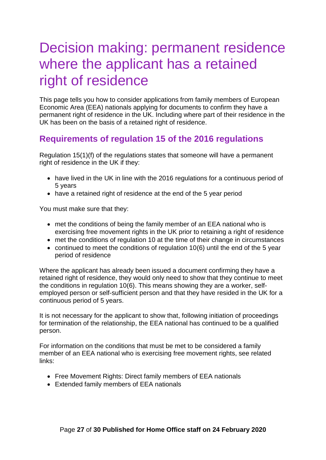# <span id="page-26-2"></span><span id="page-26-0"></span>Decision making: permanent residence where the applicant has a retained right of residence

This page tells you how to consider applications from family members of European Economic Area (EEA) nationals applying for documents to confirm they have a permanent right of residence in the UK. Including where part of their residence in the UK has been on the basis of a retained right of residence.

## <span id="page-26-1"></span>**Requirements of regulation 15 of the 2016 regulations**

Regulation 15(1)(f) of the regulations states that someone will have a permanent right of residence in the UK if they:

- have lived in the UK in line with the 2016 regulations for a continuous period of 5 years
- have a retained right of residence at the end of the 5 year period

You must make sure that they:

- met the conditions of being the family member of an EEA national who is exercising free movement rights in the UK prior to retaining a right of residence
- met the conditions of regulation 10 at the time of their change in circumstances
- continued to meet the conditions of regulation 10(6) until the end of the 5 year period of residence

Where the applicant has already been issued a document confirming they have a retained right of residence, they would only need to show that they continue to meet the conditions in regulation 10(6). This means showing they are a worker, selfemployed person or self-sufficient person and that they have resided in the UK for a continuous period of 5 years.

It is not necessary for the applicant to show that, following initiation of proceedings for termination of the relationship, the EEA national has continued to be a qualified person.

For information on the conditions that must be met to be considered a family member of an EEA national who is exercising free movement rights, see related links:

- Free Movement Rights: Direct family members of EEA nationals
- Extended family members of EEA nationals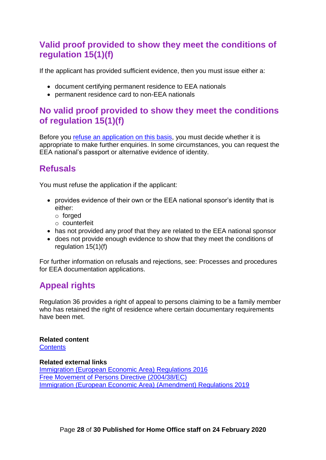## **Valid proof provided to show they meet the conditions of regulation 15(1)(f)**

If the applicant has provided sufficient evidence, then you must issue either a:

- document certifying permanent residence to EEA nationals
- permanent residence card to non-EEA nationals

### <span id="page-27-0"></span>**No valid proof provided to show they meet the conditions of regulation 15(1)(f)**

Before you [refuse an application on this basis,](#page-19-0) you must decide whether it is appropriate to make further enquiries. In some circumstances, you can request the EEA national's passport or alternative evidence of identity.

## <span id="page-27-1"></span>**Refusals**

You must refuse the application if the applicant:

- provides evidence of their own or the EEA national sponsor's identity that is either:
	- o forged
	- o counterfeit
- has not provided any proof that they are related to the EEA national sponsor
- does not provide enough evidence to show that they meet the conditions of regulation 15(1)(f)

For further information on refusals and rejections, see: Processes and procedures for EEA documentation applications.

## <span id="page-27-2"></span>**Appeal rights**

Regulation 36 provides a right of appeal to persons claiming to be a family member who has retained the right of residence where certain documentary requirements have been met.

**Related content [Contents](#page-1-0)** 

#### <span id="page-27-3"></span>**Related external links**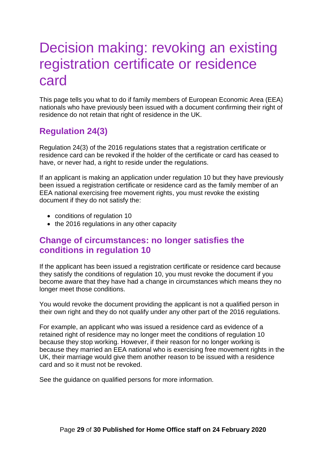# <span id="page-28-3"></span><span id="page-28-0"></span>Decision making: revoking an existing registration certificate or residence card

This page tells you what to do if family members of European Economic Area (EEA) nationals who have previously been issued with a document confirming their right of residence do not retain that right of residence in the UK.

## <span id="page-28-1"></span>**Regulation 24(3)**

Regulation 24(3) of the 2016 regulations states that a registration certificate or residence card can be revoked if the holder of the certificate or card has ceased to have, or never had, a right to reside under the regulations.

If an applicant is making an application under regulation 10 but they have previously been issued a registration certificate or residence card as the family member of an EEA national exercising free movement rights, you must revoke the existing document if they do not satisfy the:

- conditions of regulation 10
- the 2016 regulations in any other capacity

#### <span id="page-28-2"></span>**Change of circumstances: no longer satisfies the conditions in regulation 10**

If the applicant has been issued a registration certificate or residence card because they satisfy the conditions of regulation 10, you must revoke the document if you become aware that they have had a change in circumstances which means they no longer meet those conditions.

You would revoke the document providing the applicant is not a qualified person in their own right and they do not qualify under any other part of the 2016 regulations.

For example, an applicant who was issued a residence card as evidence of a retained right of residence may no longer meet the conditions of regulation 10 because they stop working. However, if their reason for no longer working is because they married an EEA national who is exercising free movement rights in the UK, their marriage would give them another reason to be issued with a residence card and so it must not be revoked.

See the quidance on qualified persons for more information.